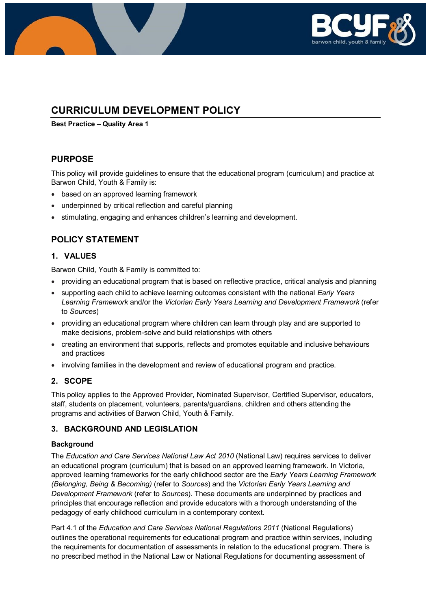

# **CURRICULUM DEVELOPMENT POLICY**

**Best Practice – Quality Area 1**

# **PURPOSE**

This policy will provide guidelines to ensure that the educational program (curriculum) and practice at Barwon Child, Youth & Family is:

- based on an approved learning framework
- underpinned by critical reflection and careful planning
- stimulating, engaging and enhances children's learning and development.

# **POLICY STATEMENT**

# **1. VALUES**

Barwon Child, Youth & Family is committed to:

- providing an educational program that is based on reflective practice, critical analysis and planning
- supporting each child to achieve learning outcomes consistent with the national *Early Years Learning Framework* and/or the *Victorian Early Years Learning and Development Framework* (refer to *Sources*)
- providing an educational program where children can learn through play and are supported to make decisions, problem-solve and build relationships with others
- creating an environment that supports, reflects and promotes equitable and inclusive behaviours and practices
- involving families in the development and review of educational program and practice.

## **2. SCOPE**

This policy applies to the Approved Provider, Nominated Supervisor, Certified Supervisor, educators, staff, students on placement, volunteers, parents/guardians, children and others attending the programs and activities of Barwon Child, Youth & Family.

## **3. BACKGROUND AND LEGISLATION**

## **Background**

The *Education and Care Services National Law Act 2010* (National Law) requires services to deliver an educational program (curriculum) that is based on an approved learning framework. In Victoria, approved learning frameworks for the early childhood sector are the *Early Years Learning Framework (Belonging, Being & Becoming)* (refer to *Sources*) and the *Victorian Early Years Learning and Development Framework* (refer to *Sources*). These documents are underpinned by practices and principles that encourage reflection and provide educators with a thorough understanding of the pedagogy of early childhood curriculum in a contemporary context.

Part 4.1 of the *Education and Care Services National Regulations 2011* (National Regulations) outlines the operational requirements for educational program and practice within services, including the requirements for documentation of assessments in relation to the educational program. There is no prescribed method in the National Law or National Regulations for documenting assessment of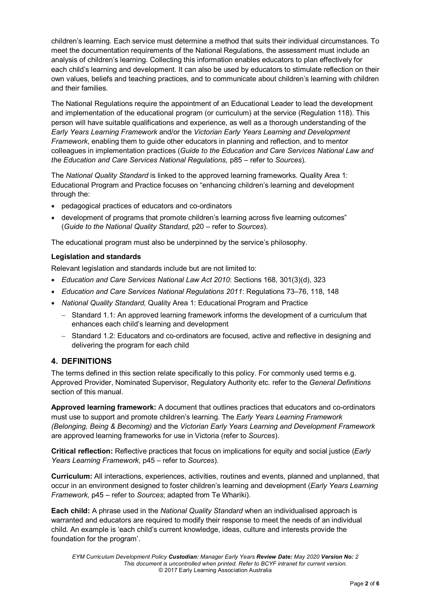children's learning. Each service must determine a method that suits their individual circumstances. To meet the documentation requirements of the National Regulations, the assessment must include an analysis of children's learning. Collecting this information enables educators to plan effectively for each child's learning and development. It can also be used by educators to stimulate reflection on their own values, beliefs and teaching practices, and to communicate about children's learning with children and their families.

The National Regulations require the appointment of an Educational Leader to lead the development and implementation of the educational program (or curriculum) at the service (Regulation 118). This person will have suitable qualifications and experience, as well as a thorough understanding of the *Early Years Learning Framework* and/or the *Victorian Early Years Learning and Development Framework*, enabling them to guide other educators in planning and reflection, and to mentor colleagues in implementation practices (*Guide to the Education and Care Services National Law and the Education and Care Services National Regulations*, p85 – refer to *Sources*).

The *National Quality Standard* is linked to the approved learning frameworks. Quality Area 1: Educational Program and Practice focuses on "enhancing children's learning and development through the:

- pedagogical practices of educators and co-ordinators
- development of programs that promote children's learning across five learning outcomes" (*Guide to the National Quality Standard*, p20 – refer to *Sources*).

The educational program must also be underpinned by the service's philosophy.

## **Legislation and standards**

Relevant legislation and standards include but are not limited to:

- *Education and Care Services National Law Act 2010*: Sections 168, 301(3)(d), 323
- *Education and Care Services National Regulations 2011*: Regulations 73–76, 118, 148
- *National Quality Standard,* Quality Area 1: Educational Program and Practice
	- − Standard 1.1: An approved learning framework informs the development of a curriculum that enhances each child's learning and development
	- − Standard 1.2: Educators and co-ordinators are focused, active and reflective in designing and delivering the program for each child

# **4. DEFINITIONS**

The terms defined in this section relate specifically to this policy. For commonly used terms e.g. Approved Provider, Nominated Supervisor, Regulatory Authority etc. refer to the *General Definitions* section of this manual.

**Approved learning framework:** A document that outlines practices that educators and co-ordinators must use to support and promote children's learning. The *Early Years Learning Framework (Belonging, Being & Becoming)* and the *Victorian Early Years Learning and Development Framework* are approved learning frameworks for use in Victoria (refer to *Sources*).

**Critical reflection:** Reflective practices that focus on implications for equity and social justice (*Early Years Learning Framework*, p45 – refer to *Sources*).

**Curriculum:** All interactions, experiences, activities, routines and events, planned and unplanned, that occur in an environment designed to foster children's learning and development (*Early Years Learning Framework,* p45 – refer to *Sources*; adapted from Te Whariki).

**Each child:** A phrase used in the *National Quality Standard* when an individualised approach is warranted and educators are required to modify their response to meet the needs of an individual child. An example is 'each child's current knowledge, ideas, culture and interests provide the foundation for the program'.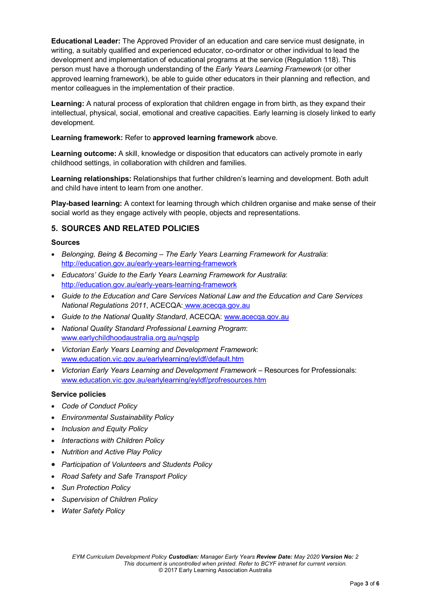**Educational Leader:** The Approved Provider of an education and care service must designate, in writing, a suitably qualified and experienced educator, co-ordinator or other individual to lead the development and implementation of educational programs at the service (Regulation 118). This person must have a thorough understanding of the *Early Years Learning Framework* (or other approved learning framework), be able to guide other educators in their planning and reflection, and mentor colleagues in the implementation of their practice.

**Learning:** A natural process of exploration that children engage in from birth, as they expand their intellectual, physical, social, emotional and creative capacities. Early learning is closely linked to early development.

### **Learning framework:** Refer to **approved learning framework** above.

**Learning outcome:** A skill, knowledge or disposition that educators can actively promote in early childhood settings, in collaboration with children and families.

**Learning relationships:** Relationships that further children's learning and development. Both adult and child have intent to learn from one another.

**Play-based learning:** A context for learning through which children organise and make sense of their social world as they engage actively with people, objects and representations.

## **5. SOURCES AND RELATED POLICIES**

#### **Sources**

- *Belonging, Being & Becoming – The Early Years Learning Framework for Australia*: <http://education.gov.au/early-years-learning-framework>
- *Educators' Guide to the Early Years Learning Framework for Australia*: <http://education.gov.au/early-years-learning-framework>
- *Guide to the Education and Care Services National Law and the Education and Care Services National Regulations 2011*, ACECQA: [www.acecqa.gov.au](http://www.acecqa.gov.au/)
- *Guide to the National Quality Standard*, ACECQA: [www.acecqa.gov.au](http://www.acecqa.gov.au/)
- *National Quality Standard Professional Learning Program*: [www.earlychildhoodaustralia.org.au/nqsplp](http://www.earlychildhoodaustralia.org.au/nqsplp)
- *Victorian Early Years Learning and Development Framework*: [www.education.vic.gov.au/earlylearning/eyldf/default.htm](http://www.education.vic.gov.au/earlylearning/eyldf/default.htm)
- *Victorian Early Years Learning and Development Framework* Resources for Professionals: [www.education.vic.gov.au/earlylearning/eyldf/profresources.htm](http://www.education.vic.gov.au/earlylearning/eyldf/profresources.htm)

#### **Service policies**

- *Code of Conduct Policy*
- *Environmental Sustainability Policy*
- *Inclusion and Equity Policy*
- *Interactions with Children Policy*
- *Nutrition and Active Play Policy*
- *Participation of Volunteers and Students Policy*
- *Road Safety and Safe Transport Policy*
- *Sun Protection Policy*
- *Supervision of Children Policy*
- *Water Safety Policy*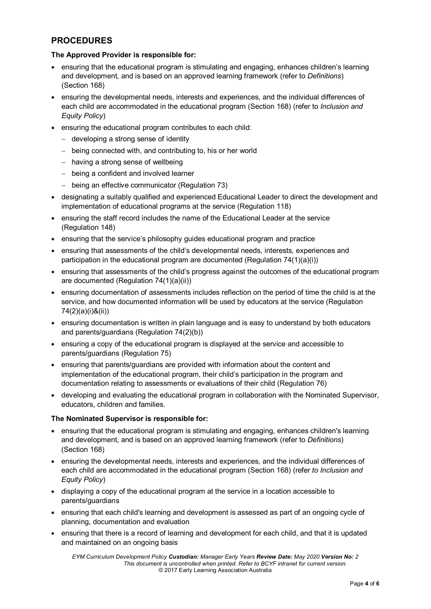# **PROCEDURES**

## **The Approved Provider is responsible for:**

- ensuring that the educational program is stimulating and engaging, enhances children's learning and development, and is based on an approved learning framework (refer to *Definitions*) (Section 168)
- ensuring the developmental needs, interests and experiences, and the individual differences of each child are accommodated in the educational program (Section 168) (refer to *Inclusion and Equity Policy*)
- ensuring the educational program contributes to each child:
	- − developing a strong sense of identity
	- − being connected with, and contributing to, his or her world
	- − having a strong sense of wellbeing
	- − being a confident and involved learner
	- − being an effective communicator (Regulation 73)
- designating a suitably qualified and experienced Educational Leader to direct the development and implementation of educational programs at the service (Regulation 118)
- ensuring the staff record includes the name of the Educational Leader at the service (Regulation 148)
- ensuring that the service's philosophy guides educational program and practice
- ensuring that assessments of the child's developmental needs, interests, experiences and participation in the educational program are documented (Regulation  $74(1)(a)(i)$ )
- ensuring that assessments of the child's progress against the outcomes of the educational program are documented (Regulation 74(1)(a)(ii))
- ensuring documentation of assessments includes reflection on the period of time the child is at the service, and how documented information will be used by educators at the service (Regulation 74(2)(a)(i)&(ii))
- ensuring documentation is written in plain language and is easy to understand by both educators and parents/guardians (Regulation 74(2)(b))
- ensuring a copy of the educational program is displayed at the service and accessible to parents/guardians (Regulation 75)
- ensuring that parents/guardians are provided with information about the content and implementation of the educational program, their child's participation in the program and documentation relating to assessments or evaluations of their child (Regulation 76)
- developing and evaluating the educational program in collaboration with the Nominated Supervisor, educators, children and families.

### **The Nominated Supervisor is responsible for:**

- ensuring that the educational program is stimulating and engaging, enhances children's learning and development, and is based on an approved learning framework (refer to *Definitions*) (Section 168)
- ensuring the developmental needs, interests and experiences, and the individual differences of each child are accommodated in the educational program (Section 168) (refer *to Inclusion and Equity Policy*)
- displaying a copy of the educational program at the service in a location accessible to parents/guardians
- ensuring that each child's learning and development is assessed as part of an ongoing cycle of planning, documentation and evaluation
- ensuring that there is a record of learning and development for each child, and that it is updated and maintained on an ongoing basis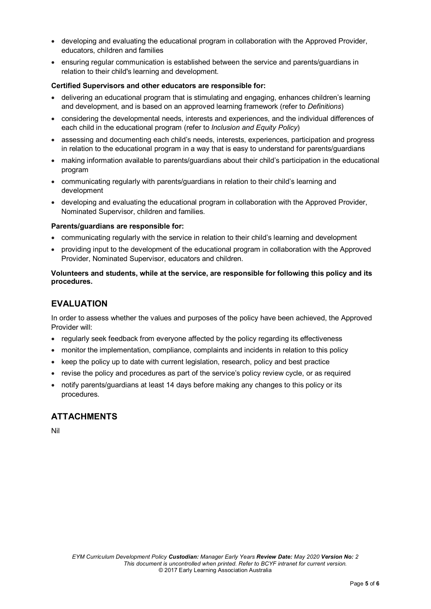- developing and evaluating the educational program in collaboration with the Approved Provider, educators, children and families
- ensuring regular communication is established between the service and parents/guardians in relation to their child's learning and development.

#### **Certified Supervisors and other educators are responsible for:**

- delivering an educational program that is stimulating and engaging, enhances children's learning and development, and is based on an approved learning framework (refer to *Definitions*)
- considering the developmental needs, interests and experiences, and the individual differences of each child in the educational program (refer to *Inclusion and Equity Policy*)
- assessing and documenting each child's needs, interests, experiences, participation and progress in relation to the educational program in a way that is easy to understand for parents/guardians
- making information available to parents/guardians about their child's participation in the educational program
- communicating regularly with parents/guardians in relation to their child's learning and development
- developing and evaluating the educational program in collaboration with the Approved Provider, Nominated Supervisor, children and families.

#### **Parents/guardians are responsible for:**

- communicating regularly with the service in relation to their child's learning and development
- providing input to the development of the educational program in collaboration with the Approved Provider, Nominated Supervisor, educators and children.

### **Volunteers and students, while at the service, are responsible for following this policy and its procedures.**

# **EVALUATION**

In order to assess whether the values and purposes of the policy have been achieved, the Approved Provider will:

- regularly seek feedback from everyone affected by the policy regarding its effectiveness
- monitor the implementation, compliance, complaints and incidents in relation to this policy
- keep the policy up to date with current legislation, research, policy and best practice
- revise the policy and procedures as part of the service's policy review cycle, or as required
- notify parents/guardians at least 14 days before making any changes to this policy or its procedures.

# **ATTACHMENTS**

Nil